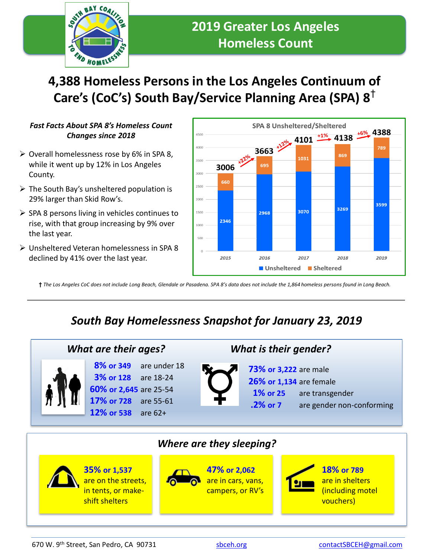

# **4,388 Homeless Persons in the Los Angeles Continuum of Care's (CoC's) South Bay/Service Planning Area (SPA) 8**†

#### *Fast Facts About SPA 8's Homeless Count Changes since 2018*

- $\triangleright$  Overall homelessness rose by 6% in SPA 8, while it went up by 12% in Los Angeles County.
- $\triangleright$  The South Bay's unsheltered population is 29% larger than Skid Row's.
- $\triangleright$  SPA 8 persons living in vehicles continues to rise, with that group increasing by 9% over the last year.
- ➢ Unsheltered Veteran homelessness in SPA 8 declined by 41% over the last year.



**†** *The Los Angeles CoC does not include Long Beach, Glendale or Pasadena. SPA 8's data does not include the 1,864 homeless persons found in Long Beach.*

## *South Bay Homelessness Snapshot for January 23, 2019*



**8% or 349** are under 18 **3% or 128** are 18-24 **60% or 2,645** are 25-54 **17% or 728** are 55-61 **12% or 538** are 62+

### *What are their ages? What is their gender?*

- **73% or 3,222** are male
	- **26% or 1,134** are female
		- **1% or 25** are transgender
	- **.2% or 7** are gender non-conforming



670 W. 9<sup>th</sup> Street, San Pedro, CA 90731 [sbceh.org](http://www.sbceh.org/) speed of the street, San Pedro, CA 90731 speed and the street, San Pedro, CA 90731